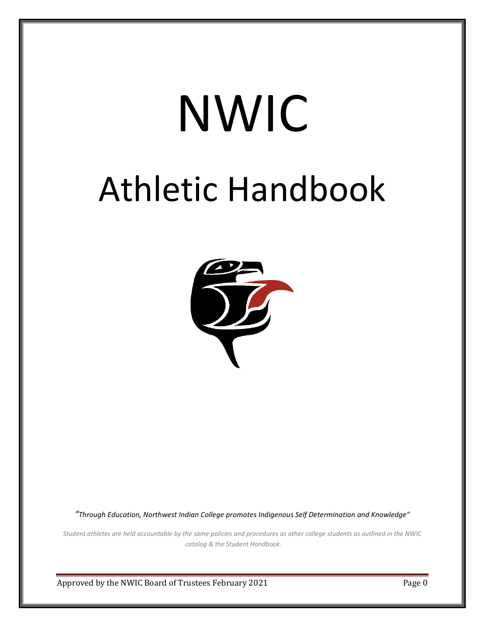# NWIC Athletic Handbook



*"Through Education, Northwest Indian College promotes Indigenous Self Determination and Knowledge"*

*Student athletes are held accountable by the same policies and procedures as other college students as outlined in the NWIC catalog & the Student Handbook.*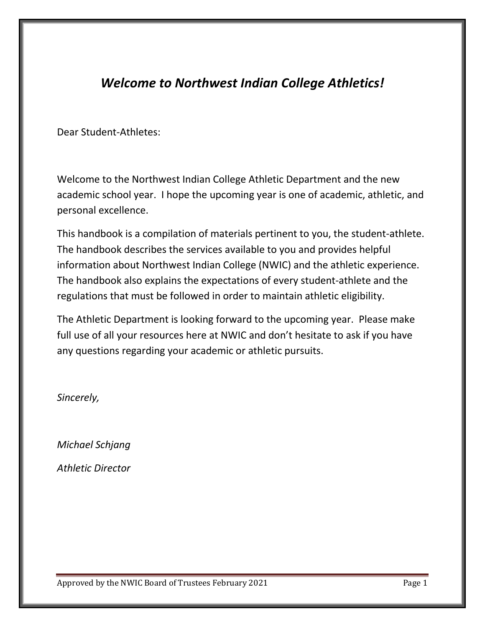# *Welcome to Northwest Indian College Athletics!*

Dear Student-Athletes:

Welcome to the Northwest Indian College Athletic Department and the new academic school year. I hope the upcoming year is one of academic, athletic, and personal excellence.

This handbook is a compilation of materials pertinent to you, the student-athlete. The handbook describes the services available to you and provides helpful information about Northwest Indian College (NWIC) and the athletic experience. The handbook also explains the expectations of every student-athlete and the regulations that must be followed in order to maintain athletic eligibility.

The Athletic Department is looking forward to the upcoming year. Please make full use of all your resources here at NWIC and don't hesitate to ask if you have any questions regarding your academic or athletic pursuits.

*Sincerely,*

*Michael Schjang Athletic Director*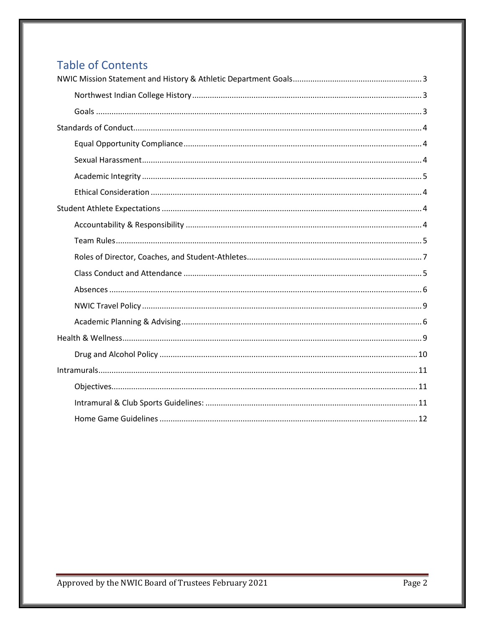# **Table of Contents**

<span id="page-2-0"></span>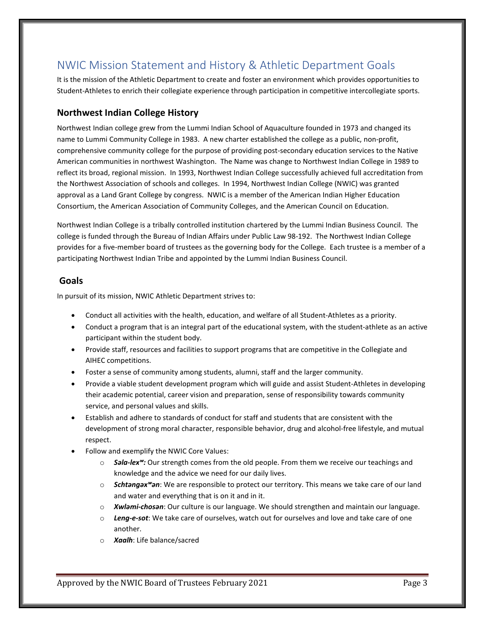# NWIC Mission Statement and History & Athletic Department Goals

It is the mission of the Athletic Department to create and foster an environment which provides opportunities to Student-Athletes to enrich their collegiate experience through participation in competitive intercollegiate sports.

#### <span id="page-3-0"></span>**Northwest Indian College History**

Northwest Indian college grew from the Lummi Indian School of Aquaculture founded in 1973 and changed its name to Lummi Community College in 1983. A new charter established the college as a public, non-profit, comprehensive community college for the purpose of providing post-secondary education services to the Native American communities in northwest Washington. The Name was change to Northwest Indian College in 1989 to reflect its broad, regional mission. In 1993, Northwest Indian College successfully achieved full accreditation from the Northwest Association of schools and colleges. In 1994, Northwest Indian College (NWIC) was granted approval as a Land Grant College by congress. NWIC is a member of the American Indian Higher Education Consortium, the American Association of Community Colleges, and the American Council on Education.

Northwest Indian College is a tribally controlled institution chartered by the Lummi Indian Business Council. The college is funded through the Bureau of Indian Affairs under Public Law 98-192. The Northwest Indian College provides for a five-member board of trustees as the governing body for the College. Each trustee is a member of a participating Northwest Indian Tribe and appointed by the Lummi Indian Business Council.

#### <span id="page-3-1"></span>**Goals**

In pursuit of its mission, NWIC Athletic Department strives to:

- Conduct all activities with the health, education, and welfare of all Student-Athletes as a priority.
- Conduct a program that is an integral part of the educational system, with the student-athlete as an active participant within the student body.
- Provide staff, resources and facilities to support programs that are competitive in the Collegiate and AIHEC competitions.
- Foster a sense of community among students, alumni, staff and the larger community.
- Provide a viable student development program which will guide and assist Student-Athletes in developing their academic potential, career vision and preparation, sense of responsibility towards community service, and personal values and skills.
- Establish and adhere to standards of conduct for staff and students that are consistent with the development of strong moral character, responsible behavior, drug and alcohol-free lifestyle, and mutual respect.
- Follow and exemplify the NWIC Core Values:
	- o *Sәla-lexʷ:* Our strength comes from the old people. From them we receive our teachings and knowledge and the advice we need for our daily lives.
	- o *Schtәngәxʷәn*: We are responsible to protect our territory. This means we take care of our land and water and everything that is on it and in it.
	- o *Xwlәmi-chosәn*: Our culture is our language. We should strengthen and maintain our language.
	- o *Leng-e-sot*: We take care of ourselves, watch out for ourselves and love and take care of one another.
	- o *Xaalh*: Life balance/sacred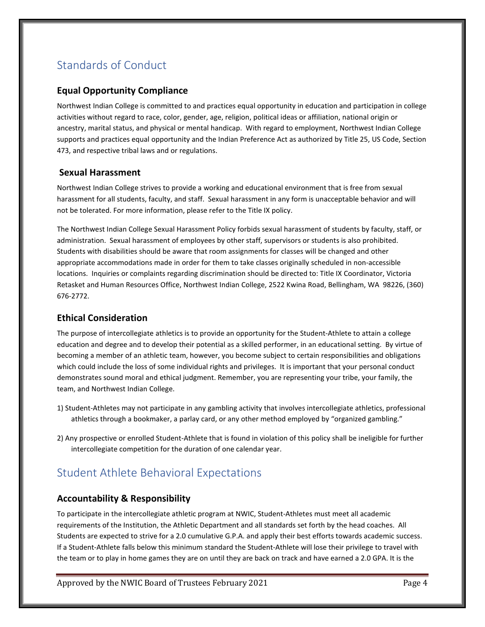# <span id="page-4-0"></span>Standards of Conduct

#### <span id="page-4-1"></span>**Equal Opportunity Compliance**

Northwest Indian College is committed to and practices equal opportunity in education and participation in college activities without regard to race, color, gender, age, religion, political ideas or affiliation, national origin or ancestry, marital status, and physical or mental handicap. With regard to employment, Northwest Indian College supports and practices equal opportunity and the Indian Preference Act as authorized by Title 25, US Code, Section 473, and respective tribal laws and or regulations.

#### <span id="page-4-2"></span>**Sexual Harassment**

Northwest Indian College strives to provide a working and educational environment that is free from sexual harassment for all students, faculty, and staff. Sexual harassment in any form is unacceptable behavior and will not be tolerated. For more information, please refer to the Title IX policy.

The Northwest Indian College Sexual Harassment Policy forbids sexual harassment of students by faculty, staff, or administration. Sexual harassment of employees by other staff, supervisors or students is also prohibited. Students with disabilities should be aware that room assignments for classes will be changed and other appropriate accommodations made in order for them to take classes originally scheduled in non-accessible locations. Inquiries or complaints regarding discrimination should be directed to: Title IX Coordinator, Victoria Retasket and Human Resources Office, Northwest Indian College, 2522 Kwina Road, Bellingham, WA 98226, (360) 676-2772.

#### <span id="page-4-3"></span>**Ethical Consideration**

The purpose of intercollegiate athletics is to provide an opportunity for the Student-Athlete to attain a college education and degree and to develop their potential as a skilled performer, in an educational setting. By virtue of becoming a member of an athletic team, however, you become subject to certain responsibilities and obligations which could include the loss of some individual rights and privileges. It is important that your personal conduct demonstrates sound moral and ethical judgment. Remember, you are representing your tribe, your family, the team, and Northwest Indian College.

- 1) Student-Athletes may not participate in any gambling activity that involves intercollegiate athletics, professional athletics through a bookmaker, a parlay card, or any other method employed by "organized gambling."
- 2) Any prospective or enrolled Student-Athlete that is found in violation of this policy shall be ineligible for further intercollegiate competition for the duration of one calendar year.

## <span id="page-4-4"></span>Student Athlete Behavioral Expectations

#### <span id="page-4-5"></span>**Accountability & Responsibility**

To participate in the intercollegiate athletic program at NWIC, Student-Athletes must meet all academic requirements of the Institution, the Athletic Department and all standards set forth by the head coaches. All Students are expected to strive for a 2.0 cumulative G.P.A. and apply their best efforts towards academic success. If a Student-Athlete falls below this minimum standard the Student-Athlete will lose their privilege to travel with the team or to play in home games they are on until they are back on track and have earned a 2.0 GPA. It is the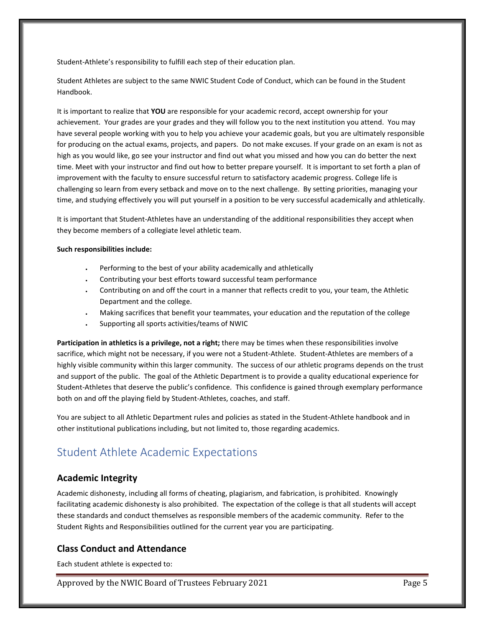Student-Athlete's responsibility to fulfill each step of their education plan.

Student Athletes are subject to the same NWIC Student Code of Conduct, which can be found in the Student Handbook.

It is important to realize that **YOU** are responsible for your academic record, accept ownership for your achievement. Your grades are your grades and they will follow you to the next institution you attend. You may have several people working with you to help you achieve your academic goals, but you are ultimately responsible for producing on the actual exams, projects, and papers. Do not make excuses. If your grade on an exam is not as high as you would like, go see your instructor and find out what you missed and how you can do better the next time. Meet with your instructor and find out how to better prepare yourself. It is important to set forth a plan of improvement with the faculty to ensure successful return to satisfactory academic progress. College life is challenging so learn from every setback and move on to the next challenge. By setting priorities, managing your time, and studying effectively you will put yourself in a position to be very successful academically and athletically.

It is important that Student-Athletes have an understanding of the additional responsibilities they accept when they become members of a collegiate level athletic team.

#### **Such responsibilities include:**

- Performing to the best of your ability academically and athletically
- Contributing your best efforts toward successful team performance
- Contributing on and off the court in a manner that reflects credit to you, your team, the Athletic Department and the college.
- Making sacrifices that benefit your teammates, your education and the reputation of the college
- Supporting all sports activities/teams of NWIC

**Participation in athletics is a privilege, not a right;** there may be times when these responsibilities involve sacrifice, which might not be necessary, if you were not a Student-Athlete. Student-Athletes are members of a highly visible community within this larger community. The success of our athletic programs depends on the trust and support of the public. The goal of the Athletic Department is to provide a quality educational experience for Student-Athletes that deserve the public's confidence. This confidence is gained through exemplary performance both on and off the playing field by Student-Athletes, coaches, and staff.

You are subject to all Athletic Department rules and policies as stated in the Student-Athlete handbook and in other institutional publications including, but not limited to, those regarding academics.

# <span id="page-5-0"></span>Student Athlete Academic Expectations

#### **Academic Integrity**

Academic dishonesty, including all forms of cheating, plagiarism, and fabrication, is prohibited. Knowingly facilitating academic dishonesty is also prohibited. The expectation of the college is that all students will accept these standards and conduct themselves as responsible members of the academic community. Refer to the Student Rights and Responsibilities outlined for the current year you are participating.

#### **Class Conduct and Attendance**

Each student athlete is expected to: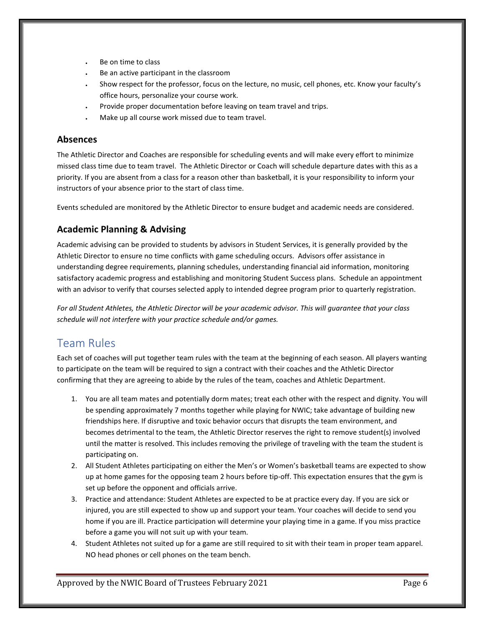- Be on time to class
- Be an active participant in the classroom
- Show respect for the professor, focus on the lecture, no music, cell phones, etc. Know your faculty's office hours, personalize your course work.
- Provide proper documentation before leaving on team travel and trips.
- Make up all course work missed due to team travel.

#### <span id="page-6-0"></span>**Absences**

The Athletic Director and Coaches are responsible for scheduling events and will make every effort to minimize missed class time due to team travel. The Athletic Director or Coach will schedule departure dates with this as a priority. If you are absent from a class for a reason other than basketball, it is your responsibility to inform your instructors of your absence prior to the start of class time.

Events scheduled are monitored by the Athletic Director to ensure budget and academic needs are considered.

#### <span id="page-6-1"></span>**Academic Planning & Advising**

Academic advising can be provided to students by advisors in Student Services, it is generally provided by the Athletic Director to ensure no time conflicts with game scheduling occurs. Advisors offer assistance in understanding degree requirements, planning schedules, understanding financial aid information, monitoring satisfactory academic progress and establishing and monitoring Student Success plans. Schedule an appointment with an advisor to verify that courses selected apply to intended degree program prior to quarterly registration.

*For all Student Athletes, the Athletic Director will be your academic advisor. This will guarantee that your class schedule will not interfere with your practice schedule and/or games.*

## Team Rules

Each set of coaches will put together team rules with the team at the beginning of each season. All players wanting to participate on the team will be required to sign a contract with their coaches and the Athletic Director confirming that they are agreeing to abide by the rules of the team, coaches and Athletic Department.

- 1. You are all team mates and potentially dorm mates; treat each other with the respect and dignity. You will be spending approximately 7 months together while playing for NWIC; take advantage of building new friendships here. If disruptive and toxic behavior occurs that disrupts the team environment, and becomes detrimental to the team, the Athletic Director reserves the right to remove student(s) involved until the matter is resolved. This includes removing the privilege of traveling with the team the student is participating on.
- 2. All Student Athletes participating on either the Men's or Women's basketball teams are expected to show up at home games for the opposing team 2 hours before tip-off. This expectation ensures that the gym is set up before the opponent and officials arrive.
- 3. Practice and attendance: Student Athletes are expected to be at practice every day. If you are sick or injured, you are still expected to show up and support your team. Your coaches will decide to send you home if you are ill. Practice participation will determine your playing time in a game. If you miss practice before a game you will not suit up with your team.
- 4. Student Athletes not suited up for a game are still required to sit with their team in proper team apparel. NO head phones or cell phones on the team bench.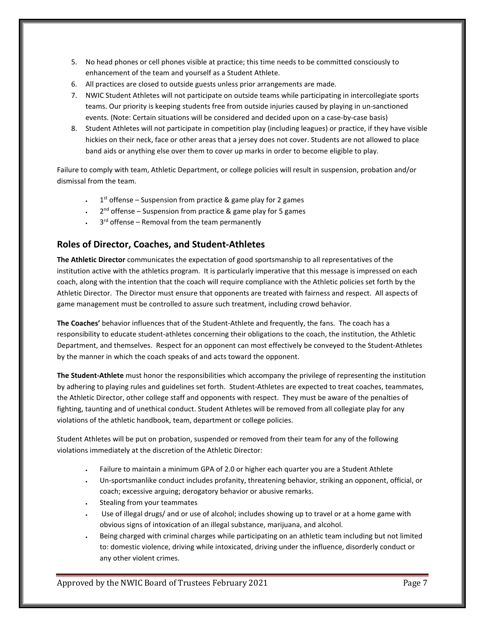- 5. No head phones or cell phones visible at practice; this time needs to be committed consciously to enhancement of the team and yourself as a Student Athlete.
- 6. All practices are closed to outside guests unless prior arrangements are made.
- 7. NWIC Student Athletes will not participate on outside teams while participating in intercollegiate sports teams. Our priority is keeping students free from outside injuries caused by playing in un-sanctioned events. (Note: Certain situations will be considered and decided upon on a case-by-case basis)
- 8. Student Athletes will not participate in competition play (including leagues) or practice, if they have visible hickies on their neck, face or other areas that a jersey does not cover. Students are not allowed to place band aids or anything else over them to cover up marks in order to become eligible to play.

Failure to comply with team, Athletic Department, or college policies will result in suspension, probation and/or dismissal from the team.

- $1<sup>st</sup>$  offense Suspension from practice & game play for 2 games
- $2<sup>nd</sup>$  offense Suspension from practice & game play for 5 games
- $\cdot$  3<sup>rd</sup> offense Removal from the team permanently

#### <span id="page-7-0"></span>**Roles of Director, Coaches, and Student-Athletes**

**The Athletic Director** communicates the expectation of good sportsmanship to all representatives of the institution active with the athletics program. It is particularly imperative that this message is impressed on each coach, along with the intention that the coach will require compliance with the Athletic policies set forth by the Athletic Director. The Director must ensure that opponents are treated with fairness and respect. All aspects of game management must be controlled to assure such treatment, including crowd behavior.

**The Coaches'** behavior influences that of the Student-Athlete and frequently, the fans. The coach has a responsibility to educate student-athletes concerning their obligations to the coach, the institution, the Athletic Department, and themselves. Respect for an opponent can most effectively be conveyed to the Student-Athletes by the manner in which the coach speaks of and acts toward the opponent.

**The Student-Athlete** must honor the responsibilities which accompany the privilege of representing the institution by adhering to playing rules and guidelines set forth. Student-Athletes are expected to treat coaches, teammates, the Athletic Director, other college staff and opponents with respect. They must be aware of the penalties of fighting, taunting and of unethical conduct. Student Athletes will be removed from all collegiate play for any violations of the athletic handbook, team, department or college policies.

Student Athletes will be put on probation, suspended or removed from their team for any of the following violations immediately at the discretion of the Athletic Director:

- Failure to maintain a minimum GPA of 2.0 or higher each quarter you are a Student Athlete
- Un-sportsmanlike conduct includes profanity, threatening behavior, striking an opponent, official, or coach; excessive arguing; derogatory behavior or abusive remarks.
- Stealing from your teammates
- Use of illegal drugs/ and or use of alcohol; includes showing up to travel or at a home game with obvious signs of intoxication of an illegal substance, marijuana, and alcohol.
- Being charged with criminal charges while participating on an athletic team including but not limited to: domestic violence, driving while intoxicated, driving under the influence, disorderly conduct or any other violent crimes.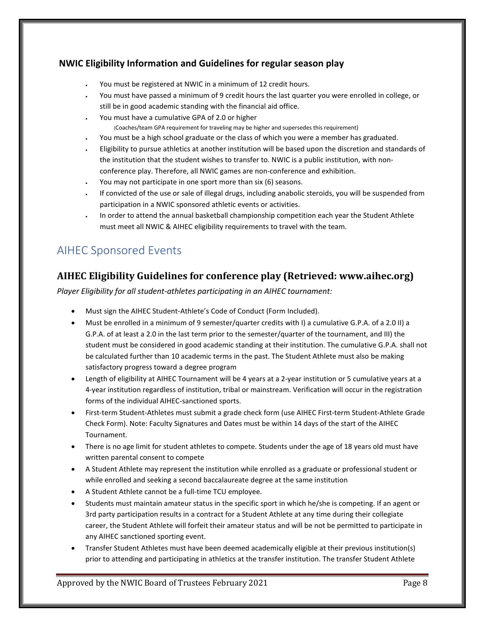#### **NWIC Eligibility Information and Guidelines for regular season play**

- You must be registered at NWIC in a minimum of 12 credit hours.
- You must have passed a minimum of 9 credit hours the last quarter you were enrolled in college, or still be in good academic standing with the financial aid office.
- You must have a cumulative GPA of 2.0 or higher
	- (Coaches/team GPA requirement for traveling may be higher and supersedes this requirement)
- You must be a high school graduate or the class of which you were a member has graduated.
- Eligibility to pursue athletics at another institution will be based upon the discretion and standards of the institution that the student wishes to transfer to. NWIC is a public institution, with nonconference play. Therefore, all NWIC games are non-conference and exhibition.
- You may not participate in one sport more than six (6) seasons.
- If convicted of the use or sale of illegal drugs, including anabolic steroids, you will be suspended from participation in a NWIC sponsored athletic events or activities.
- In order to attend the annual basketball championship competition each year the Student Athlete must meet all NWIC & AIHEC eligibility requirements to travel with the team.

# AIHEC Sponsored Events

#### **AIHEC Eligibility Guidelines for conference play (Retrieved: www.aihec.org)**

*Player Eligibility for all student-athletes participating in an AIHEC tournament:* 

- Must sign the AIHEC Student-Athlete's Code of Conduct (Form Included).
- Must be enrolled in a minimum of 9 semester/quarter credits with I) a cumulative G.P.A. of a 2.0 II) a G.P.A. of at least a 2.0 in the last term prior to the semester/quarter of the tournament, and III) the student must be considered in good academic standing at their institution. The cumulative G.P.A. shall not be calculated further than 10 academic terms in the past. The Student Athlete must also be making satisfactory progress toward a degree program
- Length of eligibility at AIHEC Tournament will be 4 years at a 2-year institution or 5 cumulative years at a 4-year institution regardless of institution, tribal or mainstream. Verification will occur in the registration forms of the individual AIHEC-sanctioned sports.
- First-term Student-Athletes must submit a grade check form (use AIHEC First-term Student-Athlete Grade Check Form). Note: Faculty Signatures and Dates must be within 14 days of the start of the AIHEC Tournament.
- There is no age limit for student athletes to compete. Students under the age of 18 years old must have written parental consent to compete
- A Student Athlete may represent the institution while enrolled as a graduate or professional student or while enrolled and seeking a second baccalaureate degree at the same institution
- A Student Athlete cannot be a full-time TCU employee.
- Students must maintain amateur status in the specific sport in which he/she is competing. If an agent or 3rd party participation results in a contract for a Student Athlete at any time during their collegiate career, the Student Athlete will forfeit their amateur status and will be not be permitted to participate in any AIHEC sanctioned sporting event.
- Transfer Student Athletes must have been deemed academically eligible at their previous institution(s) prior to attending and participating in athletics at the transfer institution. The transfer Student Athlete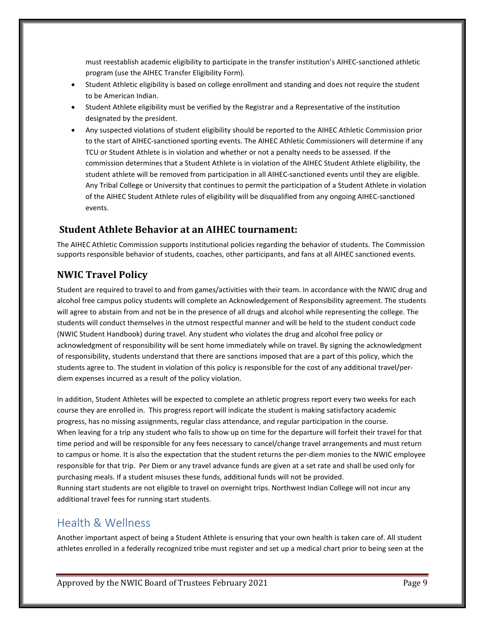must reestablish academic eligibility to participate in the transfer institution's AIHEC-sanctioned athletic program (use the AIHEC Transfer Eligibility Form).

- Student Athletic eligibility is based on college enrollment and standing and does not require the student to be American Indian.
- Student Athlete eligibility must be verified by the Registrar and a Representative of the institution designated by the president.
- Any suspected violations of student eligibility should be reported to the AIHEC Athletic Commission prior to the start of AIHEC-sanctioned sporting events. The AIHEC Athletic Commissioners will determine if any TCU or Student Athlete is in violation and whether or not a penalty needs to be assessed. If the commission determines that a Student Athlete is in violation of the AIHEC Student Athlete eligibility, the student athlete will be removed from participation in all AIHEC-sanctioned events until they are eligible. Any Tribal College or University that continues to permit the participation of a Student Athlete in violation of the AIHEC Student Athlete rules of eligibility will be disqualified from any ongoing AIHEC-sanctioned events.

#### **Student Athlete Behavior at an AIHEC tournament:**

The AIHEC Athletic Commission supports institutional policies regarding the behavior of students. The Commission supports responsible behavior of students, coaches, other participants, and fans at all AIHEC sanctioned events.

#### <span id="page-9-0"></span>**NWIC Travel Policy**

Student are required to travel to and from games/activities with their team. In accordance with the NWIC drug and alcohol free campus policy students will complete an Acknowledgement of Responsibility agreement. The students will agree to abstain from and not be in the presence of all drugs and alcohol while representing the college. The students will conduct themselves in the utmost respectful manner and will be held to the student conduct code (NWIC Student Handbook) during travel. Any student who violates the drug and alcohol free policy or acknowledgment of responsibility will be sent home immediately while on travel. By signing the acknowledgment of responsibility, students understand that there are sanctions imposed that are a part of this policy, which the students agree to. The student in violation of this policy is responsible for the cost of any additional travel/perdiem expenses incurred as a result of the policy violation.

In addition, Student Athletes will be expected to complete an athletic progress report every two weeks for each course they are enrolled in. This progress report will indicate the student is making satisfactory academic progress, has no missing assignments, regular class attendance, and regular participation in the course. When leaving for a trip any student who fails to show up on time for the departure will forfeit their travel for that time period and will be responsible for any fees necessary to cancel/change travel arrangements and must return to campus or home. It is also the expectation that the student returns the per-diem monies to the NWIC employee responsible for that trip. Per Diem or any travel advance funds are given at a set rate and shall be used only for purchasing meals. If a student misuses these funds, additional funds will not be provided. Running start students are not eligible to travel on overnight trips. Northwest Indian College will not incur any additional travel fees for running start students.

#### <span id="page-9-1"></span>Health & Wellness

Another important aspect of being a Student Athlete is ensuring that your own health is taken care of. All student athletes enrolled in a federally recognized tribe must register and set up a medical chart prior to being seen at the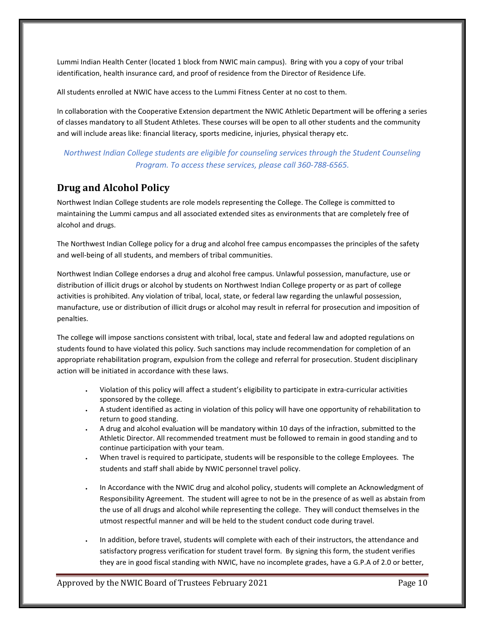Lummi Indian Health Center (located 1 block from NWIC main campus). Bring with you a copy of your tribal identification, health insurance card, and proof of residence from the Director of Residence Life.

All students enrolled at NWIC have access to the Lummi Fitness Center at no cost to them.

In collaboration with the Cooperative Extension department the NWIC Athletic Department will be offering a series of classes mandatory to all Student Athletes. These courses will be open to all other students and the community and will include areas like: financial literacy, sports medicine, injuries, physical therapy etc.

#### *Northwest Indian College students are eligible for counseling services through the Student Counseling Program. To access these services, please call 360-788-6565.*

#### <span id="page-10-0"></span>**Drug and Alcohol Policy**

Northwest Indian College students are role models representing the College. The College is committed to maintaining the Lummi campus and all associated extended sites as environments that are completely free of alcohol and drugs.

The Northwest Indian College policy for a drug and alcohol free campus encompasses the principles of the safety and well-being of all students, and members of tribal communities.

Northwest Indian College endorses a drug and alcohol free campus. Unlawful possession, manufacture, use or distribution of illicit drugs or alcohol by students on Northwest Indian College property or as part of college activities is prohibited. Any violation of tribal, local, state, or federal law regarding the unlawful possession, manufacture, use or distribution of illicit drugs or alcohol may result in referral for prosecution and imposition of penalties.

The college will impose sanctions consistent with tribal, local, state and federal law and adopted regulations on students found to have violated this policy. Such sanctions may include recommendation for completion of an appropriate rehabilitation program, expulsion from the college and referral for prosecution. Student disciplinary action will be initiated in accordance with these laws.

- Violation of this policy will affect a student's eligibility to participate in extra-curricular activities sponsored by the college.
- A student identified as acting in violation of this policy will have one opportunity of rehabilitation to return to good standing.
- A drug and alcohol evaluation will be mandatory within 10 days of the infraction, submitted to the Athletic Director. All recommended treatment must be followed to remain in good standing and to continue participation with your team.
- When travel is required to participate, students will be responsible to the college Employees. The students and staff shall abide by NWIC personnel travel policy.
- In Accordance with the NWIC drug and alcohol policy, students will complete an Acknowledgment of Responsibility Agreement. The student will agree to not be in the presence of as well as abstain from the use of all drugs and alcohol while representing the college. They will conduct themselves in the utmost respectful manner and will be held to the student conduct code during travel.
- In addition, before travel, students will complete with each of their instructors, the attendance and satisfactory progress verification for student travel form. By signing this form, the student verifies they are in good fiscal standing with NWIC, have no incomplete grades, have a G.P.A of 2.0 or better,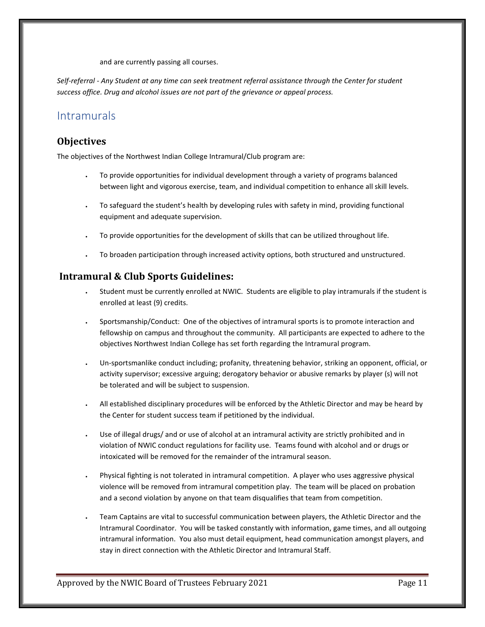and are currently passing all courses.

*Self-referral - Any Student at any time can seek treatment referral assistance through the Center for student success office. Drug and alcohol issues are not part of the grievance or appeal process.*

#### <span id="page-11-0"></span>Intramurals

#### <span id="page-11-1"></span>**Objectives**

The objectives of the Northwest Indian College Intramural/Club program are:

- To provide opportunities for individual development through a variety of programs balanced between light and vigorous exercise, team, and individual competition to enhance all skill levels.
- To safeguard the student's health by developing rules with safety in mind, providing functional equipment and adequate supervision.
- To provide opportunities for the development of skills that can be utilized throughout life.
- To broaden participation through increased activity options, both structured and unstructured.

#### <span id="page-11-2"></span>**Intramural & Club Sports Guidelines:**

- Student must be currently enrolled at NWIC. Students are eligible to play intramurals if the student is enrolled at least (9) credits.
- Sportsmanship/Conduct: One of the objectives of intramural sports is to promote interaction and fellowship on campus and throughout the community. All participants are expected to adhere to the objectives Northwest Indian College has set forth regarding the Intramural program.
- Un-sportsmanlike conduct including; profanity, threatening behavior, striking an opponent, official, or activity supervisor; excessive arguing; derogatory behavior or abusive remarks by player (s) will not be tolerated and will be subject to suspension.
- All established disciplinary procedures will be enforced by the Athletic Director and may be heard by the Center for student success team if petitioned by the individual.
- Use of illegal drugs/ and or use of alcohol at an intramural activity are strictly prohibited and in violation of NWIC conduct regulations for facility use. Teams found with alcohol and or drugs or intoxicated will be removed for the remainder of the intramural season.
- Physical fighting is not tolerated in intramural competition. A player who uses aggressive physical violence will be removed from intramural competition play. The team will be placed on probation and a second violation by anyone on that team disqualifies that team from competition.
- Team Captains are vital to successful communication between players, the Athletic Director and the Intramural Coordinator. You will be tasked constantly with information, game times, and all outgoing intramural information. You also must detail equipment, head communication amongst players, and stay in direct connection with the Athletic Director and Intramural Staff.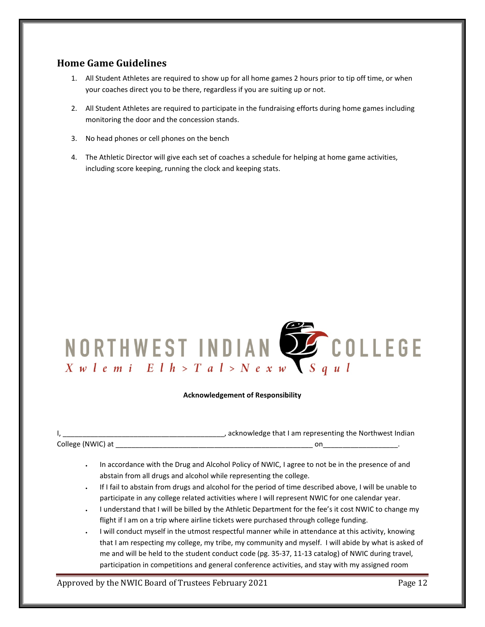#### <span id="page-12-0"></span>**Home Game Guidelines**

- 1. All Student Athletes are required to show up for all home games 2 hours prior to tip off time, or when your coaches direct you to be there, regardless if you are suiting up or not.
- 2. All Student Athletes are required to participate in the fundraising efforts during home games including monitoring the door and the concession stands.
- 3. No head phones or cell phones on the bench
- 4. The Athletic Director will give each set of coaches a schedule for helping at home game activities, including score keeping, running the clock and keeping stats.



#### **Acknowledgement of Responsibility**

|                   | , acknowledge that I am representing the Northwest Indian |  |
|-------------------|-----------------------------------------------------------|--|
| College (NWIC) at |                                                           |  |

- In accordance with the Drug and Alcohol Policy of NWIC, I agree to not be in the presence of and abstain from all drugs and alcohol while representing the college.
- If I fail to abstain from drugs and alcohol for the period of time described above, I will be unable to participate in any college related activities where I will represent NWIC for one calendar year.
- I understand that I will be billed by the Athletic Department for the fee's it cost NWIC to change my flight if I am on a trip where airline tickets were purchased through college funding.
- I will conduct myself in the utmost respectful manner while in attendance at this activity, knowing that I am respecting my college, my tribe, my community and myself. I will abide by what is asked of me and will be held to the student conduct code (pg. 35-37, 11-13 catalog) of NWIC during travel, participation in competitions and general conference activities, and stay with my assigned room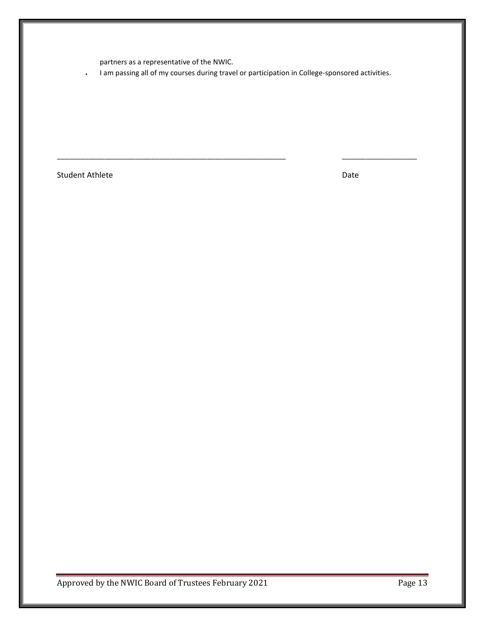partners as a representative of the NWIC.

• I am passing all of my courses during travel or participation in College-sponsored activities.

\_\_\_\_\_\_\_\_\_\_\_\_\_\_\_\_\_\_\_\_\_\_\_\_\_\_\_\_\_\_\_\_\_\_\_\_\_\_\_\_\_\_\_\_\_\_\_\_\_\_\_\_\_\_\_\_\_\_ \_\_\_\_\_\_\_\_\_\_\_\_\_\_\_\_\_\_\_

Student Athlete Date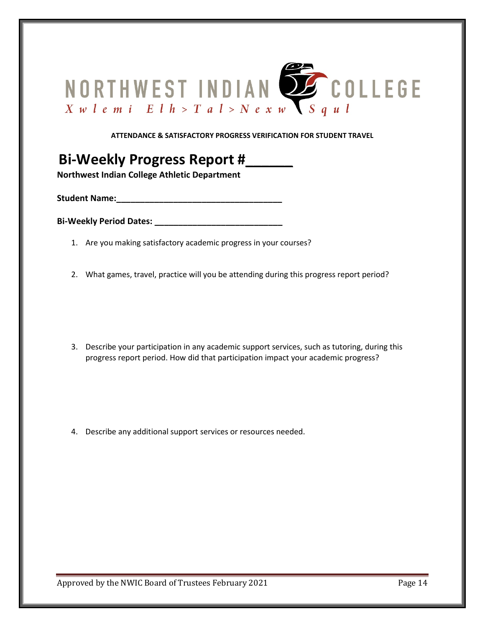

#### **ATTENDANCE & SATISFACTORY PROGRESS VERIFICATION FOR STUDENT TRAVEL**

# **Bi-Weekly Progress Report #\_\_\_\_\_\_ Northwest Indian College Athletic Department**

**Student Name: Name:** *Name***:** 

**Bi-Weekly Period Dates: \_\_\_\_\_\_\_\_\_\_\_\_\_\_\_\_\_\_\_\_\_\_\_\_\_\_\_**

- 1. Are you making satisfactory academic progress in your courses?
- 2. What games, travel, practice will you be attending during this progress report period?

3. Describe your participation in any academic support services, such as tutoring, during this progress report period. How did that participation impact your academic progress?

4. Describe any additional support services or resources needed.